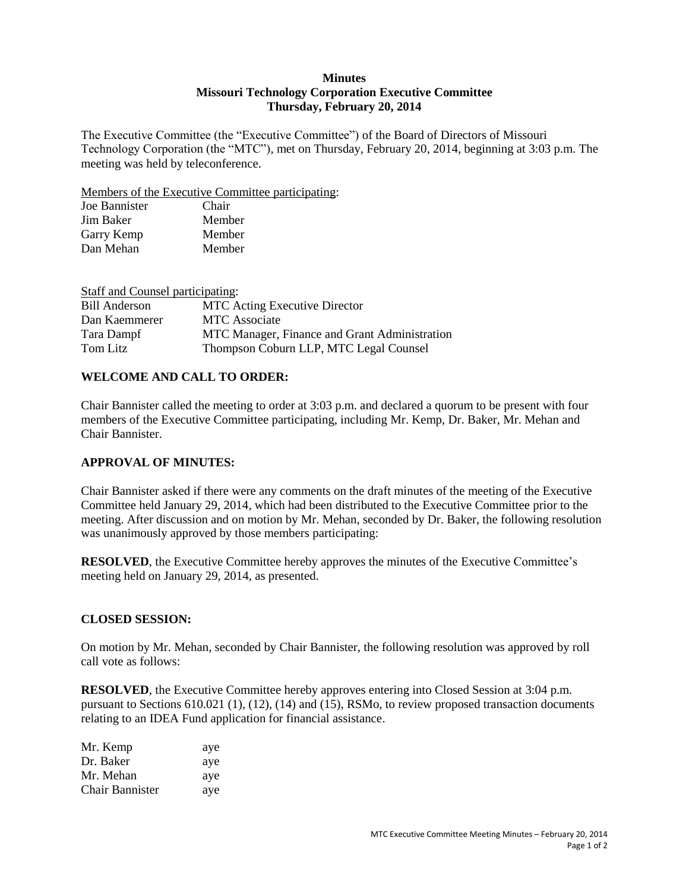#### **Minutes Missouri Technology Corporation Executive Committee Thursday, February 20, 2014**

The Executive Committee (the "Executive Committee") of the Board of Directors of Missouri Technology Corporation (the "MTC"), met on Thursday, February 20, 2014, beginning at 3:03 p.m. The meeting was held by teleconference.

Members of the Executive Committee participating:

| Chair  |
|--------|
| Member |
| Member |
| Member |
|        |

| Staff and Counsel participating: |                                               |
|----------------------------------|-----------------------------------------------|
| <b>Bill Anderson</b>             | <b>MTC</b> Acting Executive Director          |
| Dan Kaemmerer                    | <b>MTC</b> Associate                          |
| Tara Dampf                       | MTC Manager, Finance and Grant Administration |
| Tom Litz                         | Thompson Coburn LLP, MTC Legal Counsel        |

## **WELCOME AND CALL TO ORDER:**

Chair Bannister called the meeting to order at 3:03 p.m. and declared a quorum to be present with four members of the Executive Committee participating, including Mr. Kemp, Dr. Baker, Mr. Mehan and Chair Bannister.

### **APPROVAL OF MINUTES:**

Chair Bannister asked if there were any comments on the draft minutes of the meeting of the Executive Committee held January 29, 2014, which had been distributed to the Executive Committee prior to the meeting. After discussion and on motion by Mr. Mehan, seconded by Dr. Baker, the following resolution was unanimously approved by those members participating:

**RESOLVED**, the Executive Committee hereby approves the minutes of the Executive Committee's meeting held on January 29, 2014, as presented.

### **CLOSED SESSION:**

On motion by Mr. Mehan, seconded by Chair Bannister, the following resolution was approved by roll call vote as follows:

**RESOLVED**, the Executive Committee hereby approves entering into Closed Session at 3:04 p.m. pursuant to Sections 610.021 (1), (12), (14) and (15), RSMo, to review proposed transaction documents relating to an IDEA Fund application for financial assistance.

| Mr. Kemp        | aye |
|-----------------|-----|
| Dr. Baker       | aye |
| Mr. Mehan       | aye |
| Chair Bannister | aye |